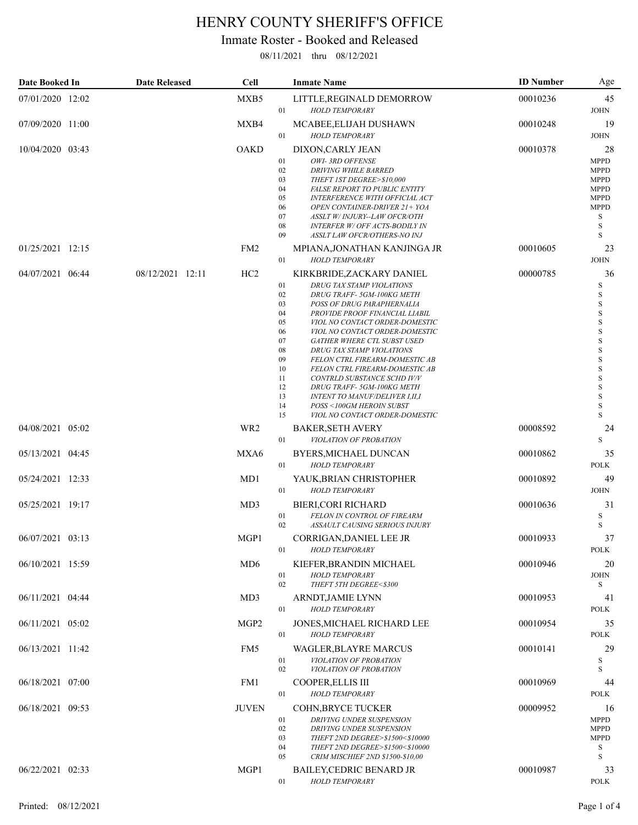## HENRY COUNTY SHERIFF'S OFFICE

## Inmate Roster - Booked and Released

08/11/2021 thru 08/12/2021

| Date Booked In   | <b>Date Released</b> | <b>Cell</b>      | <b>Inmate Name</b>                                                                                                                                                                                                                                                                                                                                                                                                                                                                                                                                                                                                   | <b>ID</b> Number | Age                                                                                                                         |
|------------------|----------------------|------------------|----------------------------------------------------------------------------------------------------------------------------------------------------------------------------------------------------------------------------------------------------------------------------------------------------------------------------------------------------------------------------------------------------------------------------------------------------------------------------------------------------------------------------------------------------------------------------------------------------------------------|------------------|-----------------------------------------------------------------------------------------------------------------------------|
| 07/01/2020 12:02 |                      | MXB5             | LITTLE, REGINALD DEMORROW<br>01<br><b>HOLD TEMPORARY</b>                                                                                                                                                                                                                                                                                                                                                                                                                                                                                                                                                             | 00010236         | 45<br><b>JOHN</b>                                                                                                           |
| 07/09/2020 11:00 |                      | MXB4             | MCABEE, ELIJAH DUSHAWN<br>01<br><b>HOLD TEMPORARY</b>                                                                                                                                                                                                                                                                                                                                                                                                                                                                                                                                                                | 00010248         | 19<br><b>JOHN</b>                                                                                                           |
| 10/04/2020 03:43 |                      | <b>OAKD</b>      | DIXON, CARLY JEAN<br>01<br>OWI-3RD OFFENSE<br>02<br><b>DRIVING WHILE BARRED</b><br>03<br>THEFT IST DEGREE>\$10,000<br>04<br><b>FALSE REPORT TO PUBLIC ENTITY</b><br>05<br><b>INTERFERENCE WITH OFFICIAL ACT</b><br>06<br>OPEN CONTAINER-DRIVER 21+ YOA<br>07<br>ASSLT W/INJURY--LAW OFCR/OTH<br>08<br><b>INTERFER W/ OFF ACTS-BODILY IN</b><br>09<br>ASSLT LAW OFCR/OTHERS-NO INJ                                                                                                                                                                                                                                    | 00010378         | 28<br><b>MPPD</b><br><b>MPPD</b><br><b>MPPD</b><br><b>MPPD</b><br><b>MPPD</b><br><b>MPPD</b><br>S<br>S<br>S                 |
| 01/25/2021 12:15 |                      | FM <sub>2</sub>  | MPIANA,JONATHAN KANJINGA JR<br>01<br><b>HOLD TEMPORARY</b>                                                                                                                                                                                                                                                                                                                                                                                                                                                                                                                                                           | 00010605         | 23<br><b>JOHN</b>                                                                                                           |
| 04/07/2021 06:44 | 08/12/2021 12:11     | HC2              | KIRKBRIDE, ZACKARY DANIEL<br>01<br>DRUG TAX STAMP VIOLATIONS<br>02<br>DRUG TRAFF-5GM-100KG METH<br>03<br>POSS OF DRUG PARAPHERNALIA<br>04<br>PROVIDE PROOF FINANCIAL LIABIL<br>05<br>VIOL NO CONTACT ORDER-DOMESTIC<br>VIOL NO CONTACT ORDER-DOMESTIC<br>06<br>07<br>GATHER WHERE CTL SUBST USED<br>08<br>DRUG TAX STAMP VIOLATIONS<br>09<br>FELON CTRL FIREARM-DOMESTIC AB<br>10<br>FELON CTRL FIREARM-DOMESTIC AB<br>11<br>CONTRLD SUBSTANCE SCHD IV/V<br>12<br>DRUG TRAFF-5GM-100KG METH<br>13<br><b>INTENT TO MANUF/DELIVER I,II,I</b><br>14<br>POSS <100GM HEROIN SUBST<br>15<br>VIOL NO CONTACT ORDER-DOMESTIC | 00000785         | 36<br>S<br>S<br>$\rm S$<br>S<br>$\rm S$<br>$\rm S$<br>$\rm S$<br>$\mathbf S$<br>$\rm S$<br>$\rm S$<br>S<br>S<br>S<br>S<br>S |
| 04/08/2021 05:02 |                      | WR <sub>2</sub>  | <b>BAKER, SETH AVERY</b><br>01<br>VIOLATION OF PROBATION                                                                                                                                                                                                                                                                                                                                                                                                                                                                                                                                                             | 00008592         | 24<br>S                                                                                                                     |
| 05/13/2021 04:45 |                      | MXA6             | BYERS, MICHAEL DUNCAN<br>01<br><b>HOLD TEMPORARY</b>                                                                                                                                                                                                                                                                                                                                                                                                                                                                                                                                                                 | 00010862         | 35<br><b>POLK</b>                                                                                                           |
| 05/24/2021 12:33 |                      | MD1              | YAUK, BRIAN CHRISTOPHER<br>01<br><b>HOLD TEMPORARY</b>                                                                                                                                                                                                                                                                                                                                                                                                                                                                                                                                                               | 00010892         | 49<br><b>JOHN</b>                                                                                                           |
| 05/25/2021 19:17 |                      | MD3              | <b>BIERI, CORI RICHARD</b><br>01<br>FELON IN CONTROL OF FIREARM<br>02<br>ASSAULT CAUSING SERIOUS INJURY                                                                                                                                                                                                                                                                                                                                                                                                                                                                                                              | 00010636         | 31<br>S<br>S                                                                                                                |
| 06/07/2021 03:13 |                      | MGP1             | CORRIGAN,DANIEL LEE JR<br>01<br><b>HOLD TEMPORARY</b>                                                                                                                                                                                                                                                                                                                                                                                                                                                                                                                                                                | 00010933         | 37<br><b>POLK</b>                                                                                                           |
| 06/10/2021 15:59 |                      | MD <sub>6</sub>  | KIEFER, BRANDIN MICHAEL<br>01<br><b>HOLD TEMPORARY</b><br>02<br>THEFT 5TH DEGREE<\$300                                                                                                                                                                                                                                                                                                                                                                                                                                                                                                                               | 00010946         | 20<br><b>JOHN</b><br>S                                                                                                      |
| 06/11/2021 04:44 |                      | MD3              | ARNDT, JAMIE LYNN<br>01<br><b>HOLD TEMPORARY</b>                                                                                                                                                                                                                                                                                                                                                                                                                                                                                                                                                                     | 00010953         | 41<br><b>POLK</b>                                                                                                           |
| 06/11/2021 05:02 |                      | MGP <sub>2</sub> | JONES, MICHAEL RICHARD LEE<br>01<br><b>HOLD TEMPORARY</b>                                                                                                                                                                                                                                                                                                                                                                                                                                                                                                                                                            | 00010954         | 35<br><b>POLK</b>                                                                                                           |
| 06/13/2021 11:42 |                      | FM <sub>5</sub>  | WAGLER, BLAYRE MARCUS<br>01<br>VIOLATION OF PROBATION<br>02<br>VIOLATION OF PROBATION                                                                                                                                                                                                                                                                                                                                                                                                                                                                                                                                | 00010141         | 29<br>S<br>S                                                                                                                |
| 06/18/2021 07:00 |                      | FM1              | COOPER, ELLIS III<br>01<br><b>HOLD TEMPORARY</b>                                                                                                                                                                                                                                                                                                                                                                                                                                                                                                                                                                     | 00010969         | 44<br><b>POLK</b>                                                                                                           |
| 06/18/2021 09:53 |                      | <b>JUVEN</b>     | COHN, BRYCE TUCKER<br>01<br>DRIVING UNDER SUSPENSION<br>02<br><b>DRIVING UNDER SUSPENSION</b><br>03<br>THEFT 2ND DEGREE>\$1500<\$10000<br>04<br>THEFT 2ND DEGREE>\$1500<\$10000<br>CRIM MISCHIEF 2ND \$1500-\$10,00<br>05                                                                                                                                                                                                                                                                                                                                                                                            | 00009952         | 16<br><b>MPPD</b><br><b>MPPD</b><br><b>MPPD</b><br>S<br>S                                                                   |
| 06/22/2021 02:33 |                      | MGP1             | <b>BAILEY,CEDRIC BENARD JR</b><br>01<br><b>HOLD TEMPORARY</b>                                                                                                                                                                                                                                                                                                                                                                                                                                                                                                                                                        | 00010987         | 33<br>POLK                                                                                                                  |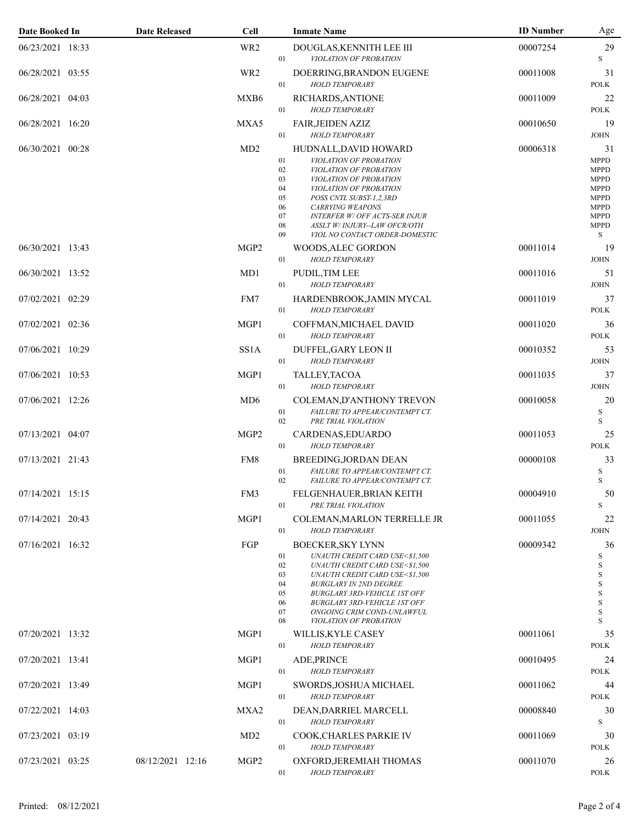| Date Booked In   | <b>Date Released</b> | <b>Cell</b>       |                                                    | <b>Inmate Name</b>                                                                                                                                                                                                                                                                                    | <b>ID Number</b> | Age                                                                                                                             |
|------------------|----------------------|-------------------|----------------------------------------------------|-------------------------------------------------------------------------------------------------------------------------------------------------------------------------------------------------------------------------------------------------------------------------------------------------------|------------------|---------------------------------------------------------------------------------------------------------------------------------|
| 06/23/2021 18:33 |                      | WR <sub>2</sub>   | 01                                                 | DOUGLAS, KENNITH LEE III<br>VIOLATION OF PROBATION                                                                                                                                                                                                                                                    | 00007254         | 29<br>S                                                                                                                         |
| 06/28/2021 03:55 |                      | WR <sub>2</sub>   | 01                                                 | DOERRING, BRANDON EUGENE<br><b>HOLD TEMPORARY</b>                                                                                                                                                                                                                                                     | 00011008         | 31<br><b>POLK</b>                                                                                                               |
| 06/28/2021 04:03 |                      | MXB6              | 01                                                 | RICHARDS, ANTIONE<br>HOLD TEMPORARY                                                                                                                                                                                                                                                                   | 00011009         | 22<br><b>POLK</b>                                                                                                               |
| 06/28/2021 16:20 |                      | MXA5              | 01                                                 | <b>FAIR, JEIDEN AZIZ</b><br><b>HOLD TEMPORARY</b>                                                                                                                                                                                                                                                     | 00010650         | 19<br><b>JOHN</b>                                                                                                               |
| 06/30/2021 00:28 |                      | MD2               | 01<br>02<br>03<br>04<br>05<br>06<br>07<br>08<br>09 | HUDNALL, DAVID HOWARD<br>VIOLATION OF PROBATION<br>VIOLATION OF PROBATION<br>VIOLATION OF PROBATION<br>VIOLATION OF PROBATION<br>POSS CNTL SUBST-1,2,3RD<br><b>CARRYING WEAPONS</b><br><b>INTERFER W/ OFF ACTS-SER INJUR</b><br>ASSLT W/INJURY--LAW OFCR/OTH<br>VIOL NO CONTACT ORDER-DOMESTIC        | 00006318         | 31<br><b>MPPD</b><br><b>MPPD</b><br><b>MPPD</b><br><b>MPPD</b><br><b>MPPD</b><br><b>MPPD</b><br><b>MPPD</b><br><b>MPPD</b><br>S |
| 06/30/2021 13:43 |                      | MGP <sub>2</sub>  | 01                                                 | WOODS, ALEC GORDON<br><b>HOLD TEMPORARY</b>                                                                                                                                                                                                                                                           | 00011014         | 19<br><b>JOHN</b>                                                                                                               |
| 06/30/2021 13:52 |                      | MD1               | 01                                                 | PUDIL, TIM LEE<br><b>HOLD TEMPORARY</b>                                                                                                                                                                                                                                                               | 00011016         | 51<br><b>JOHN</b>                                                                                                               |
| 07/02/2021 02:29 |                      | FM7               | 01                                                 | HARDENBROOK, JAMIN MYCAL<br><b>HOLD TEMPORARY</b>                                                                                                                                                                                                                                                     | 00011019         | 37<br><b>POLK</b>                                                                                                               |
| 07/02/2021 02:36 |                      | MGP1              | 01                                                 | COFFMAN, MICHAEL DAVID<br><b>HOLD TEMPORARY</b>                                                                                                                                                                                                                                                       | 00011020         | 36<br><b>POLK</b>                                                                                                               |
| 07/06/2021 10:29 |                      | SS <sub>1</sub> A | 01                                                 | DUFFEL, GARY LEON II<br><b>HOLD TEMPORARY</b>                                                                                                                                                                                                                                                         | 00010352         | 53<br><b>JOHN</b>                                                                                                               |
| 07/06/2021 10:53 |                      | MGP1              | 01                                                 | TALLEY, TACOA<br><b>HOLD TEMPORARY</b>                                                                                                                                                                                                                                                                | 00011035         | 37<br><b>JOHN</b>                                                                                                               |
| 07/06/2021 12:26 |                      | MD <sub>6</sub>   | 01<br>02                                           | COLEMAN, D'ANTHONY TREVON<br>FAILURE TO APPEAR/CONTEMPT CT.<br>PRE TRIAL VIOLATION                                                                                                                                                                                                                    | 00010058         | 20<br>$\mathbf S$<br>S                                                                                                          |
| 07/13/2021 04:07 |                      | MGP <sub>2</sub>  | 01                                                 | CARDENAS, EDUARDO<br><b>HOLD TEMPORARY</b>                                                                                                                                                                                                                                                            | 00011053         | 25<br><b>POLK</b>                                                                                                               |
| 07/13/2021 21:43 |                      | FM8               | 01<br>02                                           | BREEDING, JORDAN DEAN<br>FAILURE TO APPEAR/CONTEMPT CT.<br>FAILURE TO APPEAR/CONTEMPT CT.                                                                                                                                                                                                             | 00000108         | 33<br>$\mathbf S$<br>S                                                                                                          |
| 07/14/2021 15:15 |                      | FM3               | 01                                                 | FELGENHAUER, BRIAN KEITH<br>PRE TRIAL VIOLATION                                                                                                                                                                                                                                                       | 00004910         | 50<br>$\mathbf S$                                                                                                               |
| 07/14/2021 20:43 |                      | MGP1              | 01                                                 | COLEMAN, MARLON TERRELLE JR<br><b>HOLD TEMPORARY</b>                                                                                                                                                                                                                                                  | 00011055         | 22<br><b>JOHN</b>                                                                                                               |
| 07/16/2021 16:32 |                      | FGP               | 01<br>02<br>03<br>04<br>05<br>06<br>07<br>08       | <b>BOECKER, SKY LYNN</b><br>UNAUTH CREDIT CARD USE<\$1,500<br>UNAUTH CREDIT CARD USE<\$1,500<br>UNAUTH CREDIT CARD USE<\$1,500<br><b>BURGLARY IN 2ND DEGREE</b><br><b>BURGLARY 3RD-VEHICLE 1ST OFF</b><br><b>BURGLARY 3RD-VEHICLE 1ST OFF</b><br>ONGOING CRIM COND-UNLAWFUL<br>VIOLATION OF PROBATION | 00009342         | 36<br>$\mathbf S$<br>$\,$ S<br>$\mathbf S$<br>$\mathbf S$<br>$\mathbf S$<br>$\mathbf S$<br>$\mathbf S$<br>S                     |
| 07/20/2021 13:32 |                      | MGP1              | 01                                                 | WILLIS, KYLE CASEY<br><b>HOLD TEMPORARY</b>                                                                                                                                                                                                                                                           | 00011061         | 35<br><b>POLK</b>                                                                                                               |
| 07/20/2021 13:41 |                      | MGP1              | 01                                                 | ADE, PRINCE<br><b>HOLD TEMPORARY</b>                                                                                                                                                                                                                                                                  | 00010495         | 24<br><b>POLK</b>                                                                                                               |
| 07/20/2021 13:49 |                      | MGP1              | 01                                                 | SWORDS, JOSHUA MICHAEL<br><b>HOLD TEMPORARY</b>                                                                                                                                                                                                                                                       | 00011062         | 44<br><b>POLK</b>                                                                                                               |
| 07/22/2021 14:03 |                      | MXA2              | 01                                                 | DEAN, DARRIEL MARCELL<br><b>HOLD TEMPORARY</b>                                                                                                                                                                                                                                                        | 00008840         | 30<br>S                                                                                                                         |
| 07/23/2021 03:19 |                      | MD2               | 01                                                 | COOK, CHARLES PARKIE IV<br><b>HOLD TEMPORARY</b>                                                                                                                                                                                                                                                      | 00011069         | 30<br><b>POLK</b>                                                                                                               |
| 07/23/2021 03:25 | 08/12/2021 12:16     | MGP <sub>2</sub>  | 01                                                 | OXFORD, JEREMIAH THOMAS<br><b>HOLD TEMPORARY</b>                                                                                                                                                                                                                                                      | 00011070         | 26<br><b>POLK</b>                                                                                                               |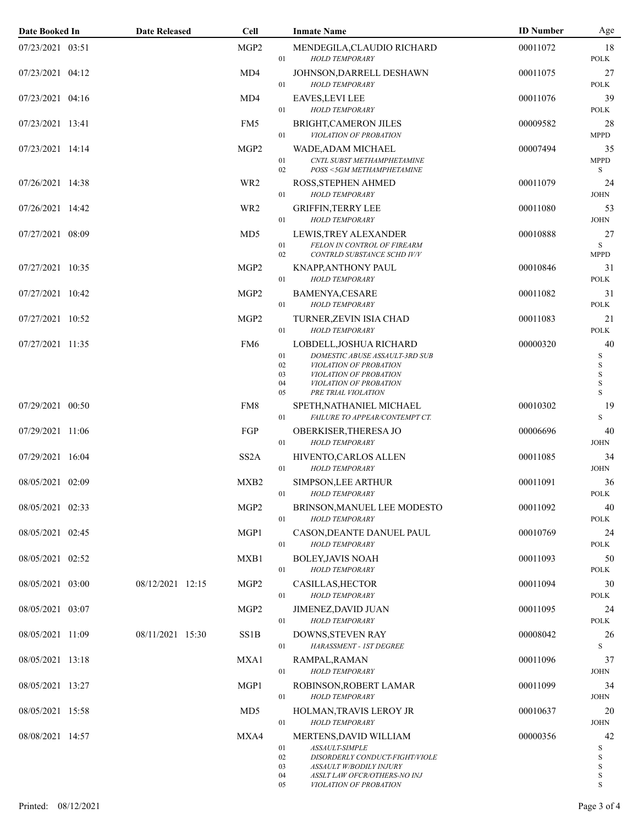| Date Booked In   | <b>Date Released</b> | Cell              |                                | <b>Inmate Name</b>                                                                                                                                              | <b>ID</b> Number | Age                                                                 |
|------------------|----------------------|-------------------|--------------------------------|-----------------------------------------------------------------------------------------------------------------------------------------------------------------|------------------|---------------------------------------------------------------------|
| 07/23/2021 03:51 |                      | MGP <sub>2</sub>  | 01                             | MENDEGILA, CLAUDIO RICHARD<br><b>HOLD TEMPORARY</b>                                                                                                             | 00011072         | 18<br><b>POLK</b>                                                   |
| 07/23/2021 04:12 |                      | MD4               | 01                             | JOHNSON, DARRELL DESHAWN<br><b>HOLD TEMPORARY</b>                                                                                                               | 00011075         | 27<br><b>POLK</b>                                                   |
| 07/23/2021 04:16 |                      | MD4               | 01                             | <b>EAVES, LEVI LEE</b><br><b>HOLD TEMPORARY</b>                                                                                                                 | 00011076         | 39<br><b>POLK</b>                                                   |
| 07/23/2021 13:41 |                      | FM5               | 01                             | BRIGHT, CAMERON JILES<br>VIOLATION OF PROBATION                                                                                                                 | 00009582         | 28<br><b>MPPD</b>                                                   |
| 07/23/2021 14:14 |                      | MGP <sub>2</sub>  | 01<br>02                       | WADE, ADAM MICHAEL<br>CNTL SUBST METHAMPHETAMINE<br>POSS <5GM METHAMPHETAMINE                                                                                   | 00007494         | 35<br><b>MPPD</b><br>S                                              |
| 07/26/2021 14:38 |                      | WR <sub>2</sub>   | 01                             | ROSS, STEPHEN AHMED<br><b>HOLD TEMPORARY</b>                                                                                                                    | 00011079         | 24<br><b>JOHN</b>                                                   |
| 07/26/2021 14:42 |                      | WR <sub>2</sub>   | 01                             | <b>GRIFFIN, TERRY LEE</b><br><b>HOLD TEMPORARY</b>                                                                                                              | 00011080         | 53<br><b>JOHN</b>                                                   |
| 07/27/2021 08:09 |                      | MD <sub>5</sub>   | 01<br>02                       | LEWIS, TREY ALEXANDER<br>FELON IN CONTROL OF FIREARM<br>CONTRLD SUBSTANCE SCHD IV/V                                                                             | 00010888         | 27<br>$\,$ S<br><b>MPPD</b>                                         |
| 07/27/2021 10:35 |                      | MGP2              | 01                             | <b>KNAPP, ANTHONY PAUL</b><br><b>HOLD TEMPORARY</b>                                                                                                             | 00010846         | 31<br><b>POLK</b>                                                   |
| 07/27/2021 10:42 |                      | MGP <sub>2</sub>  | 01                             | <b>BAMENYA,CESARE</b><br><b>HOLD TEMPORARY</b>                                                                                                                  | 00011082         | 31<br><b>POLK</b>                                                   |
| 07/27/2021 10:52 |                      | MGP <sub>2</sub>  | 01                             | TURNER, ZEVIN ISIA CHAD<br><b>HOLD TEMPORARY</b>                                                                                                                | 00011083         | 21<br><b>POLK</b>                                                   |
| 07/27/2021 11:35 |                      | FM <sub>6</sub>   | 01<br>02<br>03<br>04<br>05     | LOBDELL, JOSHUA RICHARD<br>DOMESTIC ABUSE ASSAULT-3RD SUB<br>VIOLATION OF PROBATION<br>VIOLATION OF PROBATION<br>VIOLATION OF PROBATION<br>PRE TRIAL VIOLATION  | 00000320         | 40<br>$\mathbf S$<br>$\mathbf S$<br>$\mathbf S$<br>$\mathbf S$<br>S |
| 07/29/2021 00:50 |                      | FM8               | 01                             | SPETH, NATHANIEL MICHAEL<br>FAILURE TO APPEAR/CONTEMPT CT.                                                                                                      | 00010302         | 19<br>S                                                             |
| 07/29/2021 11:06 |                      | FGP               | 01                             | OBERKISER, THERESA JO<br><b>HOLD TEMPORARY</b>                                                                                                                  | 00006696         | 40<br><b>JOHN</b>                                                   |
| 07/29/2021 16:04 |                      | SS <sub>2</sub> A | 01                             | HIVENTO, CARLOS ALLEN<br><b>HOLD TEMPORARY</b>                                                                                                                  | 00011085         | 34<br><b>JOHN</b>                                                   |
| 08/05/2021 02:09 |                      | MXB <sub>2</sub>  | 01                             | SIMPSON, LEE ARTHUR<br><b>HOLD TEMPORARY</b>                                                                                                                    | 00011091         | 36<br><b>POLK</b>                                                   |
| 08/05/2021 02:33 |                      | MGP <sub>2</sub>  | 01                             | BRINSON, MANUEL LEE MODESTO<br><b>HOLD TEMPORARY</b>                                                                                                            | 00011092         | 40<br><b>POLK</b>                                                   |
| 08/05/2021 02:45 |                      | MGP1              | 01                             | CASON, DEANTE DANUEL PAUL<br><b>HOLD TEMPORARY</b>                                                                                                              | 00010769         | 24<br><b>POLK</b>                                                   |
| 08/05/2021 02:52 |                      | MXB1              | 01                             | <b>BOLEY, JAVIS NOAH</b><br><b>HOLD TEMPORARY</b>                                                                                                               | 00011093         | 50<br><b>POLK</b>                                                   |
| 08/05/2021 03:00 | 08/12/2021 12:15     | MGP <sub>2</sub>  | 01                             | CASILLAS, HECTOR<br><b>HOLD TEMPORARY</b>                                                                                                                       | 00011094         | 30<br><b>POLK</b>                                                   |
| 08/05/2021 03:07 |                      | MGP <sub>2</sub>  | 01                             | JIMENEZ, DAVID JUAN<br><b>HOLD TEMPORARY</b>                                                                                                                    | 00011095         | 24<br><b>POLK</b>                                                   |
| 08/05/2021 11:09 | 08/11/2021 15:30     | SS <sub>1</sub> B | 01                             | DOWNS, STEVEN RAY<br>HARASSMENT - IST DEGREE                                                                                                                    | 00008042         | 26<br>S                                                             |
| 08/05/2021 13:18 |                      | MXA1              | 01                             | RAMPAL, RAMAN<br><b>HOLD TEMPORARY</b>                                                                                                                          | 00011096         | 37<br><b>JOHN</b>                                                   |
| 08/05/2021 13:27 |                      | MGP1              | 01                             | ROBINSON, ROBERT LAMAR<br><b>HOLD TEMPORARY</b>                                                                                                                 | 00011099         | 34<br><b>JOHN</b>                                                   |
| 08/05/2021 15:58 |                      | MD <sub>5</sub>   | 01                             | HOLMAN, TRAVIS LEROY JR<br><b>HOLD TEMPORARY</b>                                                                                                                | 00010637         | 20<br><b>JOHN</b>                                                   |
| 08/08/2021 14:57 |                      | MXA4              | $01\,$<br>02<br>03<br>04<br>05 | MERTENS, DAVID WILLIAM<br>ASSAULT-SIMPLE<br>DISORDERLY CONDUCT-FIGHT/VIOLE<br>ASSAULT W/BODILY INJURY<br>ASSLT LAW OFCR/OTHERS-NO INJ<br>VIOLATION OF PROBATION | 00000356         | 42<br>S<br>S<br>$\mathbf S$<br>$\,$ S<br>S                          |